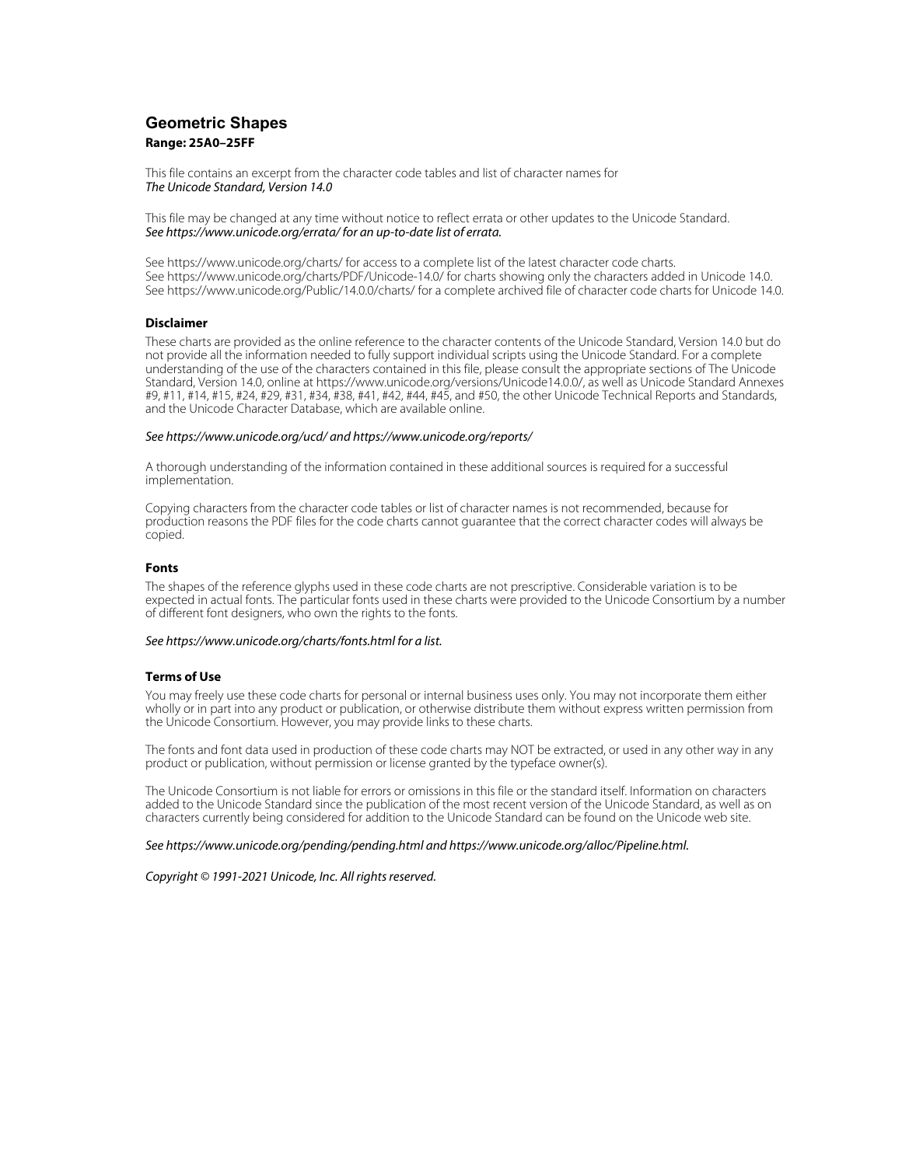# **Geometric Shapes Range: 25A0–25FF**

This file contains an excerpt from the character code tables and list of character names for The Unicode Standard, Version 14.0

This file may be changed at any time without notice to reflect errata or other updates to the Unicode Standard. See https://www.unicode.org/errata/ for an up-to-date list of errata.

See https://www.unicode.org/charts/ for access to a complete list of the latest character code charts. See https://www.unicode.org/charts/PDF/Unicode-14.0/ for charts showing only the characters added in Unicode 14.0. See https://www.unicode.org/Public/14.0.0/charts/ for a complete archived file of character code charts for Unicode 14.0.

# **Disclaimer**

These charts are provided as the online reference to the character contents of the Unicode Standard, Version 14.0 but do not provide all the information needed to fully support individual scripts using the Unicode Standard. For a complete understanding of the use of the characters contained in this file, please consult the appropriate sections of The Unicode Standard, Version 14.0, online at https://www.unicode.org/versions/Unicode14.0.0/, as well as Unicode Standard Annexes #9, #11, #14, #15, #24, #29, #31, #34, #38, #41, #42, #44, #45, and #50, the other Unicode Technical Reports and Standards, and the Unicode Character Database, which are available online.

### See https://www.unicode.org/ucd/ and https://www.unicode.org/reports/

A thorough understanding of the information contained in these additional sources is required for a successful implementation.

Copying characters from the character code tables or list of character names is not recommended, because for production reasons the PDF files for the code charts cannot guarantee that the correct character codes will always be copied.

#### **Fonts**

The shapes of the reference glyphs used in these code charts are not prescriptive. Considerable variation is to be expected in actual fonts. The particular fonts used in these charts were provided to the Unicode Consortium by a number of different font designers, who own the rights to the fonts.

# See https://www.unicode.org/charts/fonts.html for a list.

## **Terms of Use**

You may freely use these code charts for personal or internal business uses only. You may not incorporate them either wholly or in part into any product or publication, or otherwise distribute them without express written permission from the Unicode Consortium. However, you may provide links to these charts.

The fonts and font data used in production of these code charts may NOT be extracted, or used in any other way in any product or publication, without permission or license granted by the typeface owner(s).

The Unicode Consortium is not liable for errors or omissions in this file or the standard itself. Information on characters added to the Unicode Standard since the publication of the most recent version of the Unicode Standard, as well as on characters currently being considered for addition to the Unicode Standard can be found on the Unicode web site.

#### See https://www.unicode.org/pending/pending.html and https://www.unicode.org/alloc/Pipeline.html.

Copyright © 1991-2021 Unicode, Inc. All rights reserved.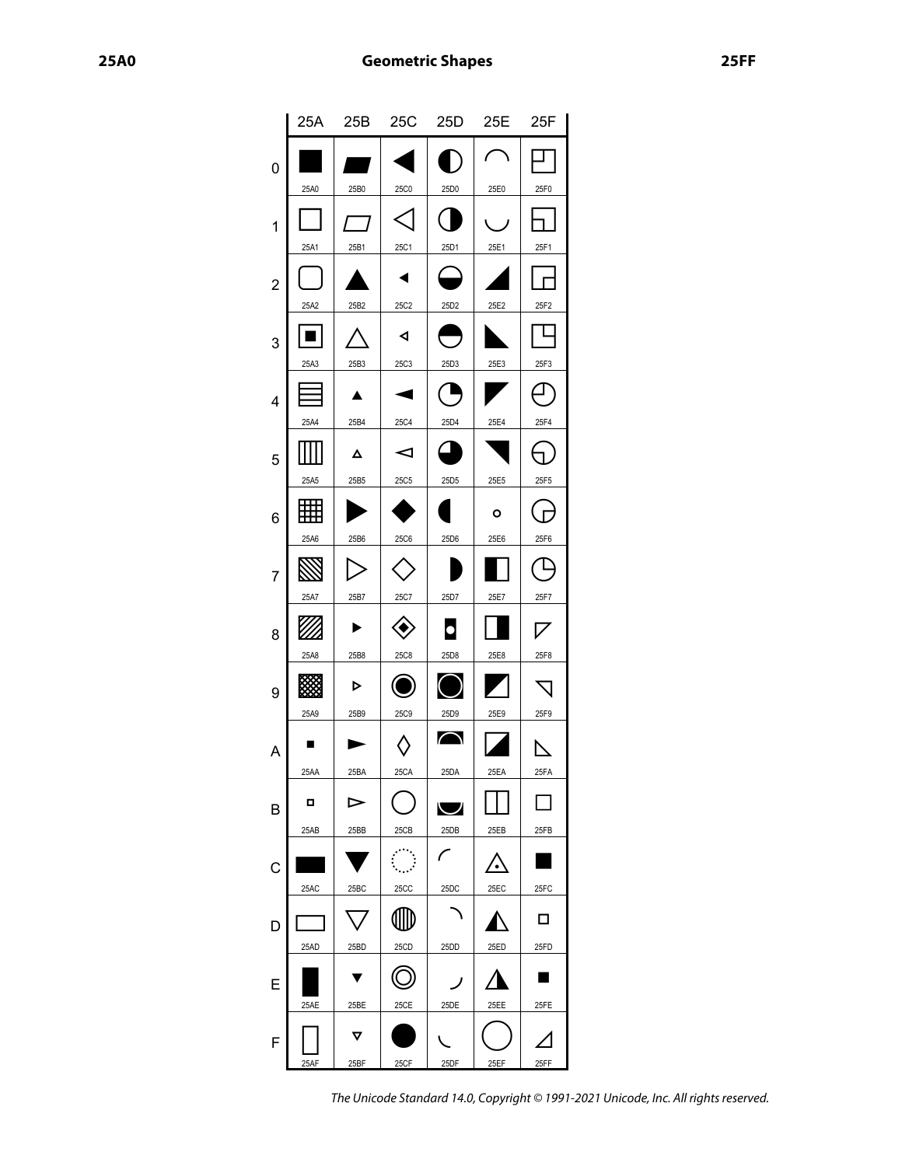0

1

2

3

4

5

6

7

8

9

A

B

C

D

E

F

|      | 25A 25B 25C 25D |                |                  | 25E  | 25F  |  |
|------|-----------------|----------------|------------------|------|------|--|
|      |                 |                |                  |      |      |  |
| 25A0 | 25B0            | 25C0           | 25D0             | 25E0 | 25F0 |  |
|      |                 |                |                  |      |      |  |
| 25A1 | 25B1            | 25C1           | 25D1             | 25E1 | 25F1 |  |
|      |                 |                |                  |      |      |  |
| 25A2 | 25B2            | 25C2           | 25D2             | 25E2 | 25F2 |  |
|      |                 | ◀              |                  |      |      |  |
| 25A3 | 25B3            | 25C3           | 25D3             | 25E3 | 25F3 |  |
|      |                 |                |                  |      |      |  |
| 25A4 | 25B4            | 25C4           | 25D4             | 25E4 | 25F4 |  |
|      | Δ               | ⊲              |                  |      |      |  |
| 25A5 | 25B5            | 25C5           | 25D <sub>5</sub> | 25E5 | 25F5 |  |
|      |                 |                |                  | O    |      |  |
| 25A6 | 25B6            | 25C6           | 25D6             | 25E6 | 25F6 |  |
|      |                 |                |                  |      |      |  |
| 25A7 | 25B7            | 25C7           | 25D7             | 25E7 | 25F7 |  |
|      |                 |                |                  |      |      |  |
| 25A8 | 25B8            | 25C8           | 25D8             | 25E8 | 25F8 |  |
|      | ⋗               |                |                  |      |      |  |
| 25A9 | 25B9            | 25C9           | 25D9             | 25E9 | 25F9 |  |
|      |                 |                | $\bigcap$        |      | ↖    |  |
| 25AA | 25BA            | 25CA           | 25DA             | 25EA | 25FA |  |
| о    | ⊳               |                | ◡                |      |      |  |
| 25AB | 25BB            | 25CB           | 25DB             | 25EB | 25FB |  |
|      |                 | $\mathbb{R}^2$ |                  |      |      |  |
| 25AC | 25BC            | <b>25CC</b>    | 25DC             | 25EC | 25FC |  |
|      |                 |                |                  |      | □    |  |
| 25AD | 25BD            | 25CD           | 25DD             | 25ED | 25FD |  |
|      |                 |                |                  |      |      |  |

▯

25AF

25AE

 $\boldsymbol{\nabla}$ 

25BF

25BE

●

25CF

25CE

 $\sqrt{2}$ 

25DF

25DE

 $\bigcirc$ 

25EF

25EE

The Unicode Standard 14.0, Copyright © 1991-2021 Unicode, Inc. All rights reserved.

 $\Delta$ 

25FF

25FE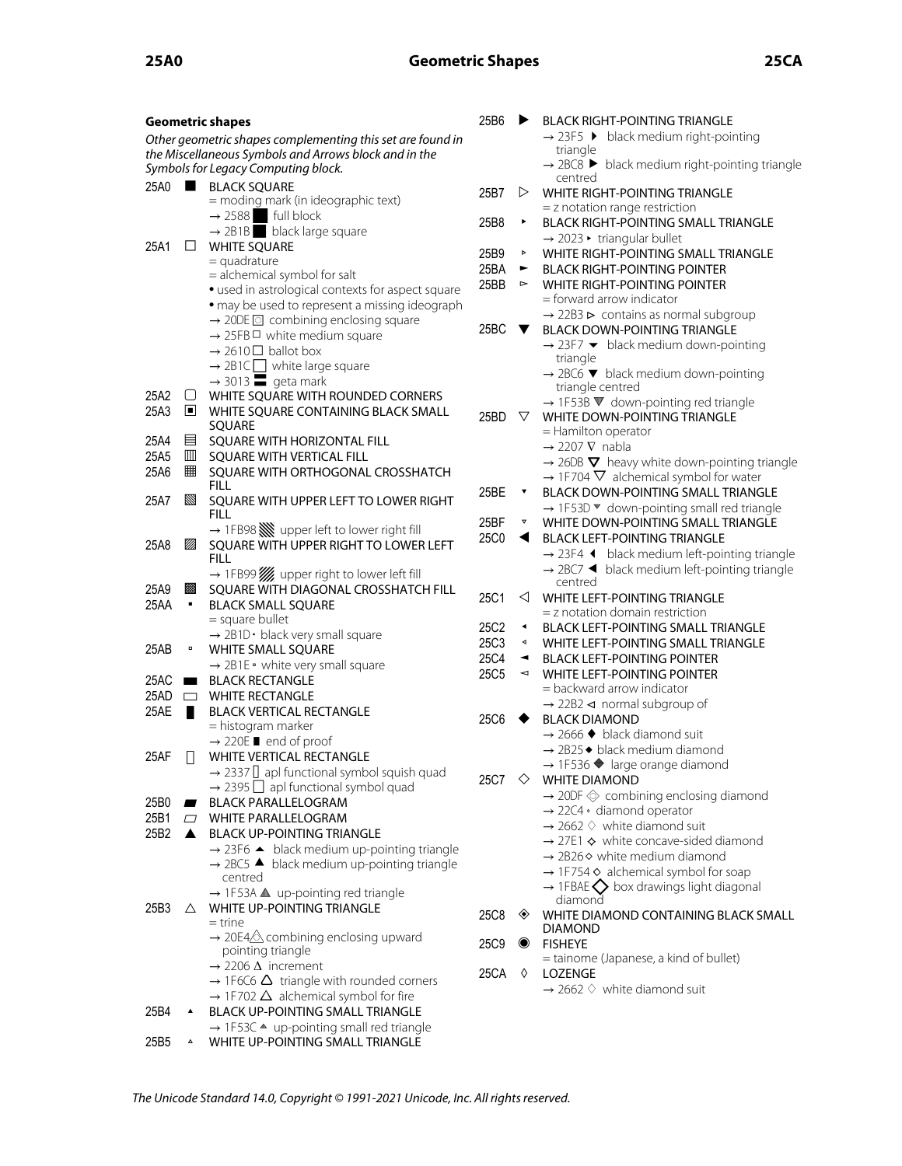| <b>Geometric shapes</b>                                    |                                                                                | 25B6 | ▶                     | <b>BLACK RIGHT-POINTING TRIANGLE</b>                                                                          |
|------------------------------------------------------------|--------------------------------------------------------------------------------|------|-----------------------|---------------------------------------------------------------------------------------------------------------|
| Other geometric shapes complementing this set are found in |                                                                                |      |                       | $\rightarrow$ 23F5 $\rightarrow$ black medium right-pointing                                                  |
| the Miscellaneous Symbols and Arrows block and in the      |                                                                                |      |                       | triangle                                                                                                      |
| Symbols for Legacy Computing block.                        |                                                                                |      |                       | $\rightarrow$ 2BC8 $\blacktriangleright$ black medium right-pointing triangle<br>centred                      |
|                                                            | 25A0 BLACK SQUARE                                                              | 25B7 | ▷                     | <b>WHITE RIGHT-POINTING TRIANGLE</b>                                                                          |
|                                                            | = moding mark (in ideographic text)                                            |      |                       | = z notation range restriction                                                                                |
|                                                            | $\rightarrow$ 2588 full block                                                  | 25B8 | ٠                     | BLACK RIGHT-POINTING SMALL TRIANGLE                                                                           |
| $\Box$                                                     | $\rightarrow$ 2B1B black large square                                          |      |                       | $\rightarrow$ 2023 • triangular bullet                                                                        |
| 25A1                                                       | <b>WHITE SQUARE</b><br>$=$ quadrature                                          | 25B9 | Þ                     | WHITE RIGHT-POINTING SMALL TRIANGLE                                                                           |
|                                                            | = alchemical symbol for salt                                                   | 25BA | ►                     | <b>BLACK RIGHT-POINTING POINTER</b>                                                                           |
|                                                            | • used in astrological contexts for aspect square                              | 25BB | $\blacktriangleright$ | <b>WHITE RIGHT-POINTING POINTER</b>                                                                           |
|                                                            | · may be used to represent a missing ideograph                                 |      |                       | $=$ forward arrow indicator                                                                                   |
|                                                            | $\rightarrow$ 20DE $\Box$ combining enclosing square                           | 25BC | v.                    | $\rightarrow$ 22B3 $\triangleright$ contains as normal subgroup<br><b>BLACK DOWN-POINTING TRIANGLE</b>        |
|                                                            | $\rightarrow$ 25FB $\Box$ white medium square                                  |      |                       | $\rightarrow$ 23F7 $\blacktriangleright$ black medium down-pointing                                           |
|                                                            | $\rightarrow$ 2610 $\Box$ ballot box                                           |      |                       | triangle                                                                                                      |
|                                                            | $\rightarrow$ 2B1C white large square<br>$\rightarrow$ 3013 $\equiv$ geta mark |      |                       | $\rightarrow$ 2BC6 $\blacktriangledown$ black medium down-pointing                                            |
| 25A2<br>$\cup$                                             | WHITE SQUARE WITH ROUNDED CORNERS                                              |      |                       | triangle centred                                                                                              |
| 25A3<br>o.                                                 | WHITE SQUARE CONTAINING BLACK SMALL                                            |      |                       | $\rightarrow$ 1F53B $\nabla$ down-pointing red triangle                                                       |
|                                                            | SQUARE                                                                         | 25BD | V                     | WHITE DOWN-POINTING TRIANGLE                                                                                  |
| 25A4<br>昌                                                  | SQUARE WITH HORIZONTAL FILL                                                    |      |                       | = Hamilton operator<br>$\rightarrow$ 2207 V nabla                                                             |
| 25A5<br>Ш                                                  | SQUARE WITH VERTICAL FILL                                                      |      |                       | $\rightarrow$ 26DB $\nabla$ heavy white down-pointing triangle                                                |
| 25A6<br>镾                                                  | SQUARE WITH ORTHOGONAL CROSSHATCH                                              |      |                       | $\rightarrow$ 1F704 $\nabla$ alchemical symbol for water                                                      |
|                                                            | <b>FILL</b>                                                                    | 25BE | $\blacktriangledown$  | <b>BLACK DOWN-POINTING SMALL TRIANGLE</b>                                                                     |
| 25A7<br>▧                                                  | SQUARE WITH UPPER LEFT TO LOWER RIGHT                                          |      |                       | $\rightarrow$ 1F53D $\blacktriangledown$ down-pointing small red triangle                                     |
|                                                            | <b>FILL</b><br>$\rightarrow$ 1FB98 We upper left to lower right fill           | 25BF | $\boldsymbol{\nabla}$ | WHITE DOWN-POINTING SMALL TRIANGLE                                                                            |
| ØA<br>25A8                                                 | SQUARE WITH UPPER RIGHT TO LOWER LEFT                                          | 25C0 | ◀                     | <b>BLACK LEFT-POINTING TRIANGLE</b>                                                                           |
|                                                            | <b>FILL</b>                                                                    |      |                       | $\rightarrow$ 23F4 $\blacktriangleleft$ black medium left-pointing triangle                                   |
|                                                            | → 1FB99 / upper right to lower left fill                                       |      |                       | $\rightarrow$ 2BC7 $\blacktriangleleft$ black medium left-pointing triangle                                   |
| 25A9<br>圝                                                  | SQUARE WITH DIAGONAL CROSSHATCH FILL                                           | 25C1 | ◁                     | centred<br>WHITE LEFT-POINTING TRIANGLE                                                                       |
| 25AA<br>$\blacksquare$                                     | <b>BLACK SMALL SQUARE</b>                                                      |      |                       | $=$ z notation domain restriction                                                                             |
|                                                            | $=$ square bullet                                                              | 25C2 | $\blacktriangleleft$  | <b>BLACK LEFT-POINTING SMALL TRIANGLE</b>                                                                     |
|                                                            | → 2B1D · black very small square                                               | 25C3 | $\blacktriangleleft$  | WHITE LEFT-POINTING SMALL TRIANGLE                                                                            |
| 25AB<br>$\blacksquare$                                     | WHITE SMALL SQUARE                                                             | 25C4 | ◄                     | <b>BLACK LEFT-POINTING POINTER</b>                                                                            |
| 25AC<br>$\blacksquare$                                     | $\rightarrow$ 2B1E • white very small square<br><b>BLACK RECTANGLE</b>         | 25C5 | $\blacktriangleleft$  | <b>WHITE LEFT-POINTING POINTER</b>                                                                            |
| $25AD$ $\Box$                                              | <b>WHITE RECTANGLE</b>                                                         |      |                       | = backward arrow indicator                                                                                    |
| 25AE<br>a ka                                               | <b>BLACK VERTICAL RECTANGLE</b>                                                |      |                       | $\rightarrow$ 22B2 < normal subgroup of                                                                       |
|                                                            | = histogram marker                                                             | 25C6 |                       | <b>BLACK DIAMOND</b>                                                                                          |
|                                                            | $\rightarrow$ 220E <b>u</b> end of proof                                       |      |                       | $\rightarrow$ 2666 $\blacklozenge$ black diamond suit                                                         |
| 25AF                                                       | <b>WHITE VERTICAL RECTANGLE</b>                                                |      |                       | $\rightarrow$ 2B25 $\bullet$ black medium diamond<br>$\rightarrow$ 1F536 $\blacklozenge$ large orange diamond |
|                                                            | $\rightarrow$ 2337 $\Box$ apl functional symbol squish quad                    |      |                       | 25C7 $\Diamond$ WHITE DIAMOND                                                                                 |
|                                                            | $\rightarrow$ 2395 $\Box$ apl functional symbol quad                           |      |                       | $\rightarrow$ 20DF $\otimes$ combining enclosing diamond                                                      |
| 25B0                                                       | <b>BLACK PARALLELOGRAM</b>                                                     |      |                       | $\rightarrow$ 22C4 · diamond operator                                                                         |
| 25B1<br>$\Box$<br>25B2<br>▲                                | <b>WHITE PARALLELOGRAM</b><br><b>BLACK UP-POINTING TRIANGLE</b>                |      |                       | $\rightarrow$ 2662 $\Diamond$ white diamond suit                                                              |
|                                                            | $\rightarrow$ 23F6 $\blacktriangle$ black medium up-pointing triangle          |      |                       | $\rightarrow$ 27E1 $\diamond$ white concave-sided diamond                                                     |
|                                                            | $\rightarrow$ 2BC5 $\blacktriangle$ black medium up-pointing triangle          |      |                       | $\rightarrow$ 2B26 $\diamond$ white medium diamond                                                            |
|                                                            | centred                                                                        |      |                       | $\rightarrow$ 1F754 $\diamond$ alchemical symbol for soap                                                     |
|                                                            | $\rightarrow$ 1F53A $\triangle$ up-pointing red triangle                       |      |                       | $\rightarrow$ 1FBAE $\bigcirc$ box drawings light diagonal<br>diamond                                         |
| 25B3<br>Δ                                                  | WHITE UP-POINTING TRIANGLE                                                     | 25C8 | ◈                     | WHITE DIAMOND CONTAINING BLACK SMALL                                                                          |
|                                                            | $=$ trine                                                                      |      |                       | <b>DIAMOND</b>                                                                                                |
|                                                            | $\rightarrow$ 20E4 $\triangle$ combining enclosing upward<br>pointing triangle | 25C9 | $\bullet$             | <b>FISHEYE</b>                                                                                                |
|                                                            | $\rightarrow$ 2206 $\Delta$ increment                                          |      |                       | = tainome (Japanese, a kind of bullet)                                                                        |
|                                                            | $\rightarrow$ 1F6C6 $\Delta$ triangle with rounded corners                     | 25CA | ♦                     | <b>LOZENGE</b>                                                                                                |
|                                                            | $\rightarrow$ 1F702 $\Delta$ alchemical symbol for fire                        |      |                       | $\rightarrow$ 2662 $\Diamond$ white diamond suit                                                              |
| 25B4<br>۸                                                  | <b>BLACK UP-POINTING SMALL TRIANGLE</b>                                        |      |                       |                                                                                                               |
|                                                            | $\rightarrow$ 1F53C $\triangle$ up-pointing small red triangle                 |      |                       |                                                                                                               |
| 25B5<br>$\Delta$                                           | WHITE UP-POINTING SMALL TRIANGLE                                               |      |                       |                                                                                                               |

The Unicode Standard 14.0, Copyright © 1991-2021 Unicode, Inc. All rights reserved.